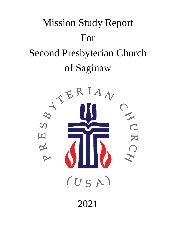

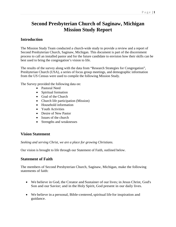## **Second Presbyterian Church of Saginaw, Michigan Mission Study Report**

## **Introduction**

The Mission Study Team conducted a church-wide study to provide a review and a report of Second Presbyterian Church, Saginaw, Michigan. This document is part of the discernment process to call an installed pastor and for the future candidate to envision how their skills can be best used to bring the congregation's vision to life.

The results of the survey along with the data from "Research Strategies for Congregation", Presbyterian Church (USA), a series of focus group meetings, and demographic information from the US Census were used to compile the following Mission Study.

The Survey provided the following data on:

- Pastoral Need
- Spiritual formation
- Goal of the Church
- Church life participation (Mission)
- Household information
- Youth Activities
- Desire of New Pastor
- Issues of the church
- Strengths and weaknesses

## **Vision Statement**

*Seeking and serving Christ, we are a place for growing Christians.*

Our vision is brought to life through our Statement of Faith, outlined below.

## **Statement of Faith**

The members of Second Presbyterian Church, Saginaw, Michigan, make the following statements of faith:

- We believe in God, the Creator and Sustainer of our lives; in Jesus Christ, God's Son and our Savior; and in the Holy Spirit, God present in our daily lives.
- We believe in a personal, Bible-centered, spiritual life for inspiration and guidance.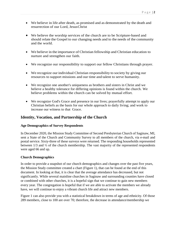- We believe in life after death, as promised and as demonstrated by the death and resurrection of our Lord, JesusChrist
- We believe the worship services of the church are to be Scripture-based and should relate the Gospel to our changing needs and to the needs of the community and the world.
- We believe in the importance of Christian fellowship and Christian education to nurture and strengthen our faith.
- We recognize our responsibility to support our fellow Christians through prayer.
- We recognize our individual Christian responsibility to society by giving our resources to support missions and our time and talent to serve humanity.
- We recognize one another's uniqueness as brothers and sisters in Christ and we believe a healthy tolerance for differing opinions is found within the church. We believe problems within the church can be solved by mutual effort.
- We recognize God's Grace and presence in our lives; prayerfully attempt to apply our Christian beliefs as the basis for our whole approach to daily living; and work to increase our witness to that Grace.

## **Identity, Vocation, and Partnership of the Church**

#### **Age Demographics of Survey Respondents**

In December 2020, the Mission Study Committee of Second Presbyterian Church of Saginaw, MI, sent a State of the Church and Community Survey to all members of the church, via e-mail and postal service. Sixty-three of these surveys were returned. The responding households represented between 1/3 and ½ of the church membership. The vast majority of the represented respondents were aged 66 and up.

#### **Church Demographics**

In order to provide a snapshot of our church demographics and changes over the past five years, the Mission Study committee created a chart (Figure 1), that can be found at the end of this document. In looking at that, it is clear that the average attendance has decreased, but not significantly. While several mainline churches in Saginaw and surrounding counties have closed or combined with other churches, it is a hopeful sign that we continue to gain new members every year. The congregation is hopeful that if we are able to activate the members we already have, we will continue to enjoy a vibrant church life and attract new members.

Figure 1 can also provide you with a statistical breakdown in terms of age and ethnicity. Of those 289 members, close to 100 are over 70; therefore, the decrease in attendance/membership we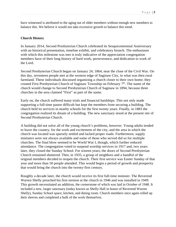have witnessed is attributed to the aging out of older members without enough new members to balance this. We believe it would not take excessive growth to balance this trend.

#### **Church History**

In January 2014, Second Presbyterian Church celebrated its Sesquicentennial Anniversary with an historical presentation, timeline exhibit, and celebratory brunch. The enthusiasm with which this milestone was met is truly indicative of the appreciation congregation members have of their long history of hard work, perseverance, and dedication to work of the Lord.

Second Presbyterian Church began on January 24, 1864, near the close of the Civil War. On this day, seventeen people met at the western edge of Saginaw City, in what was then rural farmland. These individuals discussed organizing a church closer to their own home; they created First Presbyterian Church of Saginaw Township on February  $7<sup>th</sup>$ . The name of the church would change to Second Presbyterian Church of Saginaw in 1894, because three churches in the area claimed "First" as part of the name.

Early on, the church suffered many trials and financial hardships. This not only made supporting a full-time pastor difficult but kept the members from securing a building. The church held its services in nearby schools for the first twenty years. Finally, in 1883 the congregation realized its dream of a building. The new sanctuary stood at the present site of Second Presbyterian Church.

A building did not solve all of the young church's problems, however. Young adults tended to leave the country, for the work and excitement of the city, and the area in which the church was located was sparsely settled and lacked proper roads. Furthermore, supply ministers were not always available and some of those who served did so for multiple churches. The final blow seemed to be World War I, though, which further reduced attendance. The congregation voted to suspend worship services in 1917 and, two years later, they closed the Sunday School. For sixteen years, the doors of Second Presbyterian Church remained shuttered. Then, in 1935, a group of neighbors and a handful of the original members decided to reopen the church. Their first service was Easter Sunday of that year and more than 50 people attended. This would begin a period of growth and prosperity that would bring the church into the twenty-first century.

Roughly a decade later, the church would receive its first full-time minister. The Reverend Warren Shelly preached his first sermon at the church in 1946 and was installed in 1949. This growth necessitated an addition, the cornerstone of which was laid in October of 1948. It included a new, larger sanctuary (today known as Shelly Hall in honor of Reverend Warren Shelly), Sunday School space, kitchen, and dining room. Church members once again rolled up their sleeves and completed a bulk of the work themselves.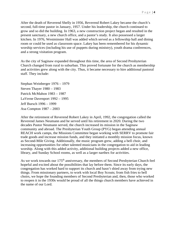After the death of Reverend Shelly in 1956, Reverend Robert Lakey became the church's second, full-time pastor in January, 1957. Under his leadership, the church continued to grow and so did the building. In 1963, a new construction project began and resulted in the present sanctuary, a new church office, and a pastor's study. It also possessed a larger kitchen. In 1976, Westminster Hall was added which served as a fellowship hall and dining room or could be used as classroom space. Lakey has been remembered for his dynamic worship services (including his use of puppets during ministry), youth drama conferences, and a strong visitation program.

As the city of Saginaw expanded throughout this time, the area of Second Presbyterian Church changed from rural to suburban. This proved fortunate for the church as membership and activities grew along with the city. Thus, it became necessary to hire additional pastoral staff. They include:

Stephan Weinberger 1976 – 1979 Steven Thayer 1980 – 1983 Patrick McMahon 1983 – 1987 LaVerne Davenport 1992 – 1995 Jeff Bursch 1996 – 1999 Asa Compton 1987 – 2003

After the retirement of Reverend Robert Lakey in April, 1992, the congregation called the Reverend James Neumann and he served until his retirement in 2020. During the two decades Pastor Neumann served, the church increased its mission in the Saginaw community and abroad. The Presbyterian Youth Group (PYG) began attending annual REACH work camps, the Missions Committee began working with SERRV to promote fair trade goods and increase mission funds, and they initiated a monthly mission focus, known as Second-Mile Giving. Additionally, the music program grew, adding a bell choir, and increasing opportunities for other talented musicians in the congregation to aid in leading worship. Along with this added activity, additional building projects added a new office, library, and Sunday School rooms, as well as a larger narthex for activities.

As we work towards our 175<sup>th</sup> anniversary, the members of Second Presbyterian Church feel hopeful and excited about the possibilities that lay before them. Since its early days, the congregation has worked hard to support its church and hasn't shied away from trying new things. From missionary partners, to work with local Boy Scouts; from fish fries to bell choirs, we hope the founding members of Second Presbyterian and, then, those who worked to reopen it in the 1930s would be proud of all the things church members have achieved in the name of our Lord.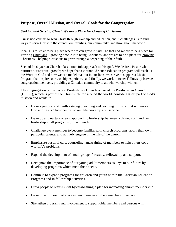## **Purpose, Overall Mission, and Overall Goals for the Congregation**

#### *Seeking and Serving Christ, We are a Place for Growing Christians*

Our vision calls us to *seek* Christ through worship and education, and it challenges us to find ways to *serve* Christ in the church, our families, our community, and throughout the world.

It calls us to strive to be a place where we can grow in faith. To that end we are to be a place for growing Christians – growing people into being Christians; and we are to be a place for growing Christians – helping Christians to grow through a deepening of their faith.

Second Presbyterian Church takes a four-fold approach to this goal. We desire a Pastor who nurtures our spiritual growth; we hope that a vibrant Christian Education program will teach us the Word of God and how we can model that out in our lives; we strive to support a Music Program that inspires our worship experience; and finally, we work to foster Fellowship between congregation members, providing a Christian community to all who worship with us.

The congregation of the Second Presbyterian Church, a part of the Presbyterian Church (U.S.A.), which is part of the Christ's Church around the world, considers itself part of God's mission and wants to:

- Have a pastoral staff with a strong preaching and teaching ministry that will make God and Jesus Christ central to our life, worship and service.
- Develop and nurture a team approach to leadership between ordained staff and lay leadership in all programs of the church.
- Challenge every member to become familiar with church programs, apply their own particular talents, and actively engage in the life of the church.
- Emphasize pastoral care, counseling, and training of members to help others cope with life's problems.
- Expand the development of small groups for study, fellowship, and support.
- Recognize the importance of our young adult members as keys to our future by developing programs which meet their needs.
- Continue to expand programs for children and youth within the Christian Education Programs and in fellowship activities.
- Draw people to Jesus Christ by establishing a plan for increasing church membership.
- Develop a process that enables new members to become church leaders.
- Strengthen programs and involvement to support older members and persons with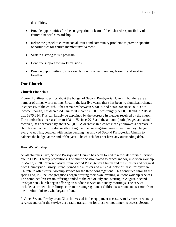disabilities.

- Provide opportunities for the congregation to learn of their shared responsibility of church financial stewardship.
- Relate the gospel to current social issues and community problems to provide specific opportunities for church member involvement.
- Sustain a strong music program.
- Continue support for world missions.
- Provide opportunities to share our faith with other churches, learning and working together.

## **Our Church**

#### **Church Financials**

Figure II outlines specifics about the budget of Second Presbyterian Church, but there are a number of things worth noting. First, in the last five years, there has been no significant change in expenses of the church. It has remained between \$290,00 and \$300,000 since 2015. Our income, though, has decreased. Our total income in 2015 was roughly \$300,500 and in 2019 it was \$275,684. This can largely be explained by the decrease in pledges received by the church. The number has decreased from 108 to 75 since 2015 and the amount (both pledged and actual received) has decreased by about \$22,000. A decrease in pledges clearly followed a decrease in church attendance. It is also worth noting that the congregation gave more than they pledged every year. This, coupled with underspending has allowed Second Presbyterian Church to balance the budget at the end of the year. The church does not have any outstanding debt.

#### **How We Worship**

As all churches have, Second Presbyterian Church has been forced to retool its worship service due to COVID safety precautions. The church Session voted to cancel indoor, in-person worship in March, 2020. Representatives from Second Presbyterian Church and the minister and organist from Countryside Trinity Church joined the minister and music director of First Presbyterian Church, to offer virtual worship service for the three congregations. This continued through the spring and, in June, congregations began offering their own, evening, outdoor worship services. The combined livestream offerings ended at the end of July and, starting in August, Second Presbyterian Church began offering an outdoor service on Sunday mornings. The service included a limited choir, liturgists from the congregation, a children's sermon, and sermon from the interim minister, who began in June.

In June, Second Presbyterian Church invested in the equipment necessary to livestream worship services and offer the service via a radio transmitter for those without internet access. Second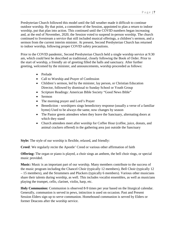Presbyterian Church followed this model until the fall weather made it difficult to continue outdoor worship. By that point, a committee of the Session, appointed to plan a return to indoor worship, put that plan into action. This continued until the COVID numbers began increasing and, at the end of November, 2020, the Session voted to suspend in-person worship. The church continued to livestream a service that still included musical offerings, a children's sermon, and a sermon from the current interim minister. At present, Second Presbyterian Church has returned to indoor worship, following proper COVID safety precautions.

Prior to the COVID pandemic, Second Presbyterian Church held a single worship service at 9:30 am, which could best be described as traditional, closely following the Book of Order. Prior to the start of worship, a friendly air of greeting filled the halls and sanctuary. After further greeting, welcomed by the minister, and announcements, worship proceeded as follows:

- Prelude
- Call to Worship and Prayer of Confession
- Children's sermon, led by the minister, lay person, or Christian Education Director, followed by dismissal to Sunday School or Youth Group
- Scripture Readings: American Bible Society "Good News Bible"
- Sermon
- The morning prayer and Lord's Prayer
- Benediction worshipers sings benedictory response (usually a verse of a familiar hymn) Used to be always the same, now changes by season
- The Pastor greets attendees when they leave the Sanctuary, alternating doors at which they stand
- Church attendees meet after worship for Coffee Hour (coffee, juice, donuts, and animal crackers offered) in the gathering area just outside the Sanctuary

**Style:** The style of our worship is flexible, relaxed, and friendly:

**Creed**: We regularly recite the Apostle' Creed or various other affirmation of faith

**Offering:** The organ or piano is played, a choir sings an anthem, the bell choir rings, or special music provided.

**Music:** Music is an important part of our worship. Many members contribute to the success of the music program including the Chancel Choir (typically 12 members), Bell Choir (typically 12 – 15 members), and the Strummers and Pluckers (typically 6 members). Various other musicians share their talents during worship, as well. This includes vocalist ensembles, as well as musicians playing the trumpet, cello, clarinet, violin, harp, etc.

**Holy Communion:** Communion is observed 8-9 times per year based on the liturgical calendar. Generally, communion is served in pews, intinction is used on occasion. Past and Present Session Elders sign up to serve communion. Homebound communion is served by Elders or former Deacons after the worship service.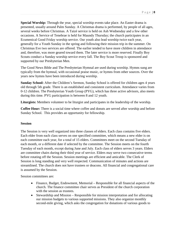**Special Worship:** Through the year, special worship events take place. An Easter drama is presented, usually around Palm Sunday. A Christmas drama is performed, by people of all ages, several weeks before Christmas. A Taizé service is held on Ash Wednesday and a few other occasions. A Service of Tenebrae is held for Maundy Thursday; the church participates in an Ecumenical Good Friday worship service. Our youth also lead worship twice each year, generally for a Youth Sunday in the spring and following their mission trip in the summer. On Christmas Eve two services are offered. The earlier tended to have more children in attendance and, therefore, was more geared toward them. The later service is more reserved. Finally Boy Scouts conduct a Sunday worship service every fall. The Boy Scout Troop is sponsored and supported by our Presbyterian Men.

The Good News Bible and The Presbyterian Hymnal are used during worship. Hymns sung are typically from the hymnal, with occasional praise music, or hymns from other sources. Over the years new hymns have been introduced during worship.

**Sunday School:** After the Children's Sermon, Sunday School is offered for children ages 4 years old through 5th grade. There is an established and consistent curriculum. Attendance varies from 0-12 children. The Presbyterian Youth Group (PYG), which has three active advisors, also meets during this time. PYG participation is between 8 and 12 youth.

**Liturgists:** Members volunteer to be liturgist and participates in the leadership of the worship.

**Coffee Hour:** There is a social time where coffee and donuts are served after worship and before Sunday School. This provides an opportunity for fellowship.

#### **Session**

The Session is very well organized into three classes of elders. Each class contains five elders. Each elder from each class serves on one specified committee, which means a new elder is on each committee each year, for a total of 15 elders. Committees meet on the second Tuesday of each month, or a different date if selected by the committee. The Session meets on the fourth Tuesday of each month, except during June and July. Each class of elders serves 3 years. Elders are committee chairs during their third year of service. Elders may serve two consecutive terms before rotating off the Session. Session meetings are efficient and amicable. The Clerk of Session is long standing and very well respected. Communication of minutes and actions are streamlined. The church does not have trustees or deacons. All financial and congregational care is assumed by the Session.

Session committees are:

- Finance, Budget, Endowment, Memorial Responsible for all financial aspects of the church. The finance committee chair serves as President of the church corporation with the session as trustees.
- Stewardship and Mission Responsible for mission interpretation and for allocating our mission budgets to various supported missions. They also organize monthly second-mile giving, which asks the congregation for donations of various goods to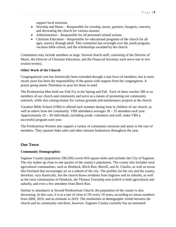support local missions.

- Worship and Music Responsible for worship, music, greeters, liturgists, concerts, and decorating the church for various seasons.
- Administration Responsible for all personnel related actions.
- Christian Education Responsible for educational programs of the church for all ages, nursery through adult. This committee has oversight over the youth program, vacation bible school, and the scholarships awarded by the church.

Committees may include members at large. Several church staff, consisting of the Director of Music, the Director of Christian Education, and the Financial Secretary each serve one or two session term(s).

#### **Other Work of the Church**

Congregational care has historically been extended through a task force of members, but in more recent years has been the responsibility of the pastor with support from the congregation. A prayer group meets Thursdays to pray for those in need.

The Presbyterian Men hold our Fish Fry in the Spring and Fall. Each of these reaches 500 or so members of our church and community and serve as a means of promoting our community outreach, while also raising money for various grounds and maintenance projects at the church.

Vacation Bible School (VBS) is offered each summer during June to children of our church, as well as others from the community. VBS attendance averages  $30 - 35$  attendees each year. Approximately 25 – 30 individuals, including youth, volunteers and staff, make VBS a successful program each year.

The Presbyterian Women also support a variety of community missions and assist in the care of members. They sponsor bake sales and other mission fundraisers throughout the year.

## **Our Town**

#### **Community Demographics**

Saginaw County (population 190,539) covers 816 square miles and includes the City of Saginaw. The city makes up close to one quarter of the county's population. The county also includes rural agricultural communities, such as Hemlock, Birch Run, Merrill, and St. Charles, as well as towns like Freeland that increasingly act as a suburb of the city. The profiles for the city and the county, therefore, vary drastically, but the church draws residents from Saginaw and its suburbs, as well as the rural communities of Hemlock, the Thomas Township area (which is both agricultural and suburb), and even a few attendees from Birch Run.

Similar to attendance at Second Presbyterian Church, the population of the county is also decreasing. In this case, it is at a rate of close to 5% every 10 years, according to census numbers from 2000, 2010, and an estimate in 2019. The similarities in demographic trends between the church and its community end there, however. Saginaw County currently has an estimated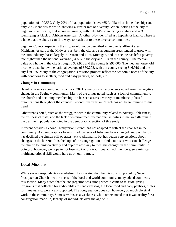population of 190,539. Only 20% of that population is over 65 (unlike church membership) and only 76% identifies as white, showing a greater rate of diversity. When looking at the city of Saginaw, specifically, that increases greatly, with only 44% identifying as white and 45% identifying as black or African American. Another 14% identified as Hispanic or Latino. There is a hope that the church can find ways to reach out to these diverse communities.

Saginaw County, especially the city, would not be described as an overly affluent area in Michigan. As part of the Midwest rust belt, the city and surrounding areas tended to grow with the auto industry, based largely in Detroit and Flint, Michigan, and its decline has left a poverty rate higher than the national average (34.5% in the city and 17% in the county). The median value of a home in the city is roughly \$39,900 and the county is \$98,000. The median household income is also below the national average of \$60,293, with the county seeing \$46,919 and the city \$29,885. Many of the congregation's mission projects reflect the economic needs of the city with donations to shelters, food and baby pantries, schools, etc.

#### **Changes in Community**

Based on a survey compiled in January, 2021, a majority of respondents noted seeing a negative change in the Saginaw community. Many of the things noted, such as a lack of commitment to the church and declining membership can be seen across a variety of membership-based organizations throughout the country. Second Presbyterian Church has not been immune to this trend.

Other trends noted, such as the struggles within the community related to poverty, joblessness, the business climate, and the lack of entertainment/recreational activities in the area illuminate the decline in population noted in the demographic section of this study.

In recent decades, Second Presbyterian Church has not adapted to reflect the changes in the community. As demographics have shifted, patterns of behavior have changed, and population has declined the church still operates very traditionally, but has begun conversations about changes on the horizon. It is the hope of the congregation to find a minister who can challenge the church to think creatively and explore new way to meet the changes in the community. In doing so, however, we hope to not lose sight of our traditional church members, so a minister multigenerational skill would help us on our journey.

#### **Local Missions**

While survey respondents overwhelmingly indicated that the missions supported by Second Presbyterian Church met the needs of the local and world community, many added comments to this section. Many noted that the congregation was strong when it came to mission giving. Programs that collected for audio bibles to send overseas, the local food and baby pantries, bibles for inmates, etc. were well-supported. The congregation does not, however, do much physical work in the community. Some saw this as a weakness, while others noted that it was reality for a congregation made up, largely, of individuals over the age of 60.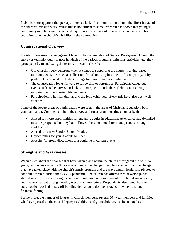It also became apparent that perhaps there is a lack of communication around the direct impact of the church's mission work. While this is not critical to some, research has shown that younger community members want to see and experience the impact of their service and giving. This could improve the church's visibility in the community.

## **Congregational Overview**

In order to measure the engagement level of the congregation of Second Presbyterian Church the survey asked individuals to note in which of the various programs, missions, activities, etc. they participate(d). In analyzing the results, it became clear that:

- Our church is very generous when it comes to supporting the church's giving-based missions. Activities such as collections for school supplies, the local food pantry, baby pantry, etc. received the highest ratings for current and past participation.
- The congregation looks forward to fellowship opportunities. Participants called out events such as the harvest potluck, summer picnic, and other celebrations as being important to their spiritual life and growth.
- Participation in holiday dramas and the fellowship hour afterwards have also been well attended.

Some of the lowest areas of participation were seen in the areas of Christian Education, both youth and adult. Comments in both the survey and focus group meetings emphasized:

- A need for more opportunities for engaging adults in education. Attendance had dwindled in some programs, but they had followed the same model for many years, so change could be helpful.
- A need for a new Sunday School Model.
- Opportunities for young adults to meet.
- A desire for group discussions that could tie in current events.

## **Strengths and Weaknesses**

When asked about the changes that have taken place within the church throughout the past five years, respondents noted both positive and negative change. They found strength in the changes that have taken place with the church's music program and the ways church leadership pivoted to continue worship during the COVID pandemic. The church has offered virtual worship, has shifted worship outside during the summer, purchased a radio transmitter to broadcast worship, and has reached out through weekly electronic newsletters. Respondents also noted that the congregation worked to pay off building debt about a decade prior, so they have a sound financial footing.

Furthermore, the number of long-term church members, several 50+ year members and families who have passed on the church legacy to children and grandchildren, has been noted as a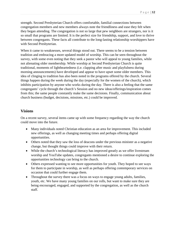strength. Second Presbyterian Church offers comfortable, familial connections between congregation members and new members always note the friendliness and ease they felt when they began attending. The congregation is not so large that pew neighbors are strangers, nor is it so small that programs are limited. It is the perfect size for friendship, support, and love to thrive between congregants. These facts all contribute to the long-lasting relationship worshippers have with Second Presbyterian.

When it came to weaknesses, several things stood out. There seems to be a tension between tradition and embracing a more updated model of worship. This can be seen throughout the survey, with some even noting that they seek a pastor who will appeal to young families, while not alienating older membership. While worship at Second Presbyterian Church is quite traditional, moments of lightheartedness (i.e. clapping after music and playfulness during morning announcements) have developed and appear to have upset some older members. This idea of clinging to tradition has also been noted in the programs offered by the church. Several things happen during the week during the day (especially for the women of the church), which inhibits participation by anyone who works during the day. There is also a feeling that the same congregants' cycle through the church's Session and no new ideas/offerings/inspiration comes from this; the same people constantly make the same decisions. Finally, communication about church business (budget, decisions, missions, etc.) could be improved.

## **Visions**

On a recent survey, several items came up with some frequency regarding the way the church could move into the future.

- Many individuals noted Christian education as an area for improvement. This included new offerings, as well as changing meeting times and perhaps offering digital opportunities.
- Others noted that they saw the loss of deacons under the previous minister as a negative change, but thought things could improve with their return.
- While the church's technological literacy has improved greatly as we offer livestream worship and YouTube updates, congregants mentioned a desire to continue exploring the opportunities technology can bring to the church.
- Others expressed wanting to see more opportunities for youth. They hoped to see ways for them to participate in worship, as well as perhaps offering contemporary services on occasion that could further engage them.
- Throughout the survey there was a focus on ways to engage young adults, families, youth, etc. We have many young families on our rolls, but want to make sure they are being encouraged, engaged, and supported by the congregation, as well as the church staff.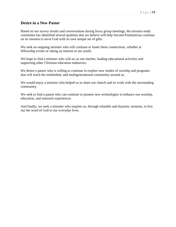### **Desire in a New Pastor**

Based on our survey results and conversations during focus group meetings, the mission study committee has identified several qualities that we believe will help Second Presbyterian continue on its mission to serve God with its own unique set of gifts.

We seek an outgoing minister who will continue to foster these connections, whether at fellowship events or taking an interest in our youth.

We hope to find a minister who will act as our teacher, leading educational activities and supporting other Christian education endeavors.

We desire a pastor who is willing to continue to explore new modes of worship and programs that will reach the multiethnic and multigenerational community around us.

We would enjoy a minister who helped us to share our church and its work with the surrounding community.

We seek to find a pastor who can continue to pioneer new technologies to enhance our worship, education, and outreach experiences.

And finally, we seek a minister who inspires us, through relatable and dynamic sermons, to live out the word of God in our everyday lives.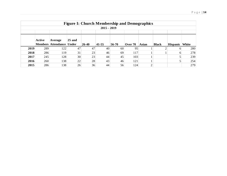|      | <b>Figure I: Church Membership and Demographics</b> |                                 |          |           |             |       |         |              |              |                 |       |  |  |  |
|------|-----------------------------------------------------|---------------------------------|----------|-----------|-------------|-------|---------|--------------|--------------|-----------------|-------|--|--|--|
|      | $2015 - 2019$                                       |                                 |          |           |             |       |         |              |              |                 |       |  |  |  |
|      |                                                     |                                 |          |           |             |       |         |              |              |                 |       |  |  |  |
|      | <b>Active</b>                                       | Average                         | $25$ and |           |             |       |         |              |              |                 |       |  |  |  |
|      |                                                     | <b>Members Attendance Under</b> |          | $26 - 40$ | $ 41 - 55 $ | 56-70 | Over 70 | <b>Asian</b> | <b>Black</b> | <b>Hispanic</b> | White |  |  |  |
| 2019 | 289                                                 | 122                             | 47       | 47        | 40          | 60    | 95      |              |              | <sub>0</sub>    | 280   |  |  |  |
| 2018 | 286                                                 | 119                             | 31       | 23        | 46          | 69    | 117     |              |              | <sub>0</sub>    | 278   |  |  |  |
| 2017 | 245                                                 | 128                             | 30       | 23        | 44          | 45    | 103     |              |              |                 | 239   |  |  |  |
| 2016 | 260                                                 | 138                             | 22       | 28        | 43          | 46    | 121     |              |              |                 | 254   |  |  |  |
| 2015 | 286                                                 | 138                             | 26       | 36        | 44          | 56    | 124     | ⌒            |              |                 | 279   |  |  |  |